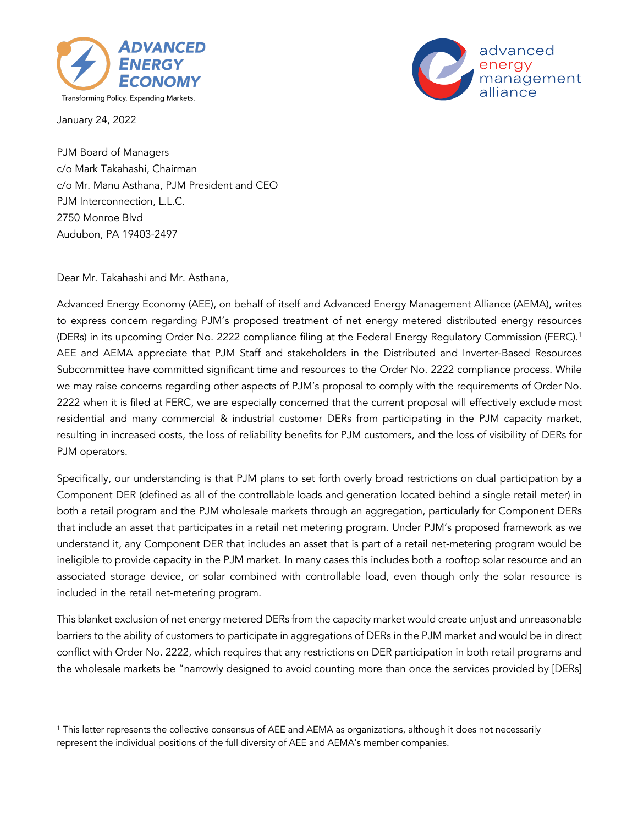



January 24, 2022

PJM Board of Managers c/o Mark Takahashi, Chairman c/o Mr. Manu Asthana, PJM President and CEO PJM Interconnection, L.L.C. 2750 Monroe Blvd Audubon, PA 19403-2497

Dear Mr. Takahashi and Mr. Asthana,

Advanced Energy Economy (AEE), on behalf of itself and Advanced Energy Management Alliance (AEMA), writes to express concern regarding PJM's proposed treatment of net energy metered distributed energy resources (DERs) in its upcoming Order No. 2222 compliance filing at the Federal Energy Regulatory Commission (FERC). 1 AEE and AEMA appreciate that PJM Staff and stakeholders in the Distributed and Inverter-Based Resources Subcommittee have committed significant time and resources to the Order No. 2222 compliance process. While we may raise concerns regarding other aspects of PJM's proposal to comply with the requirements of Order No. 2222 when it is filed at FERC, we are especially concerned that the current proposal will effectively exclude most residential and many commercial & industrial customer DERs from participating in the PJM capacity market, resulting in increased costs, the loss of reliability benefits for PJM customers, and the loss of visibility of DERs for PJM operators.

Specifically, our understanding is that PJM plans to set forth overly broad restrictions on dual participation by a Component DER (defined as all of the controllable loads and generation located behind a single retail meter) in both a retail program and the PJM wholesale markets through an aggregation, particularly for Component DERs that include an asset that participates in a retail net metering program. Under PJM's proposed framework as we understand it, any Component DER that includes an asset that is part of a retail net-metering program would be ineligible to provide capacity in the PJM market. In many cases this includes both a rooftop solar resource and an associated storage device, or solar combined with controllable load, even though only the solar resource is included in the retail net-metering program.

This blanket exclusion of net energy metered DERs from the capacity market would create unjust and unreasonable barriers to the ability of customers to participate in aggregations of DERs in the PJM market and would be in direct conflict with Order No. 2222, which requires that any restrictions on DER participation in both retail programs and the wholesale markets be "narrowly designed to avoid counting more than once the services provided by [DERs]

<sup>&</sup>lt;sup>1</sup> This letter represents the collective consensus of AEE and AEMA as organizations, although it does not necessarily represent the individual positions of the full diversity of AEE and AEMA's member companies.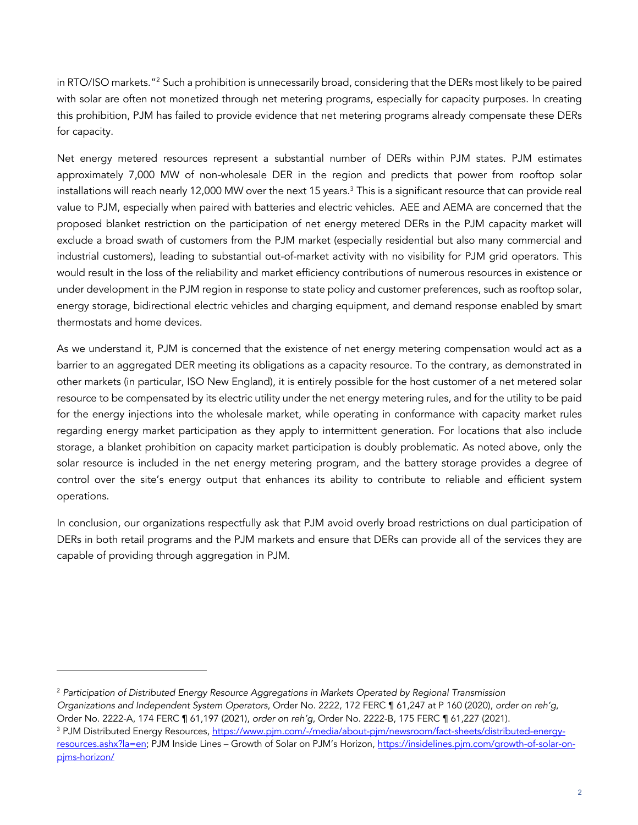in RTO/ISO markets."2 Such a prohibition is unnecessarily broad, considering that the DERs most likely to be paired with solar are often not monetized through net metering programs, especially for capacity purposes. In creating this prohibition, PJM has failed to provide evidence that net metering programs already compensate these DERs for capacity.

Net energy metered resources represent a substantial number of DERs within PJM states. PJM estimates approximately 7,000 MW of non-wholesale DER in the region and predicts that power from rooftop solar installations will reach nearly 12,000 MW over the next 15 years. <sup>3</sup> This is a significant resource that can provide real value to PJM, especially when paired with batteries and electric vehicles. AEE and AEMA are concerned that the proposed blanket restriction on the participation of net energy metered DERs in the PJM capacity market will exclude a broad swath of customers from the PJM market (especially residential but also many commercial and industrial customers), leading to substantial out-of-market activity with no visibility for PJM grid operators. This would result in the loss of the reliability and market efficiency contributions of numerous resources in existence or under development in the PJM region in response to state policy and customer preferences, such as rooftop solar, energy storage, bidirectional electric vehicles and charging equipment, and demand response enabled by smart thermostats and home devices.

As we understand it, PJM is concerned that the existence of net energy metering compensation would act as a barrier to an aggregated DER meeting its obligations as a capacity resource. To the contrary, as demonstrated in other markets (in particular, ISO New England), it is entirely possible for the host customer of a net metered solar resource to be compensated by its electric utility under the net energy metering rules, and for the utility to be paid for the energy injections into the wholesale market, while operating in conformance with capacity market rules regarding energy market participation as they apply to intermittent generation. For locations that also include storage, a blanket prohibition on capacity market participation is doubly problematic. As noted above, only the solar resource is included in the net energy metering program, and the battery storage provides a degree of control over the site's energy output that enhances its ability to contribute to reliable and efficient system operations.

In conclusion, our organizations respectfully ask that PJM avoid overly broad restrictions on dual participation of DERs in both retail programs and the PJM markets and ensure that DERs can provide all of the services they are capable of providing through aggregation in PJM.

<sup>2</sup> *Participation of Distributed Energy Resource Aggregations in Markets Operated by Regional Transmission Organizations and Independent System Operators*, Order No. 2222, 172 FERC ¶ 61,247 at P 160 (2020), *order on reh'g*, Order No. 2222-A, 174 FERC ¶ 61,197 (2021), *order on reh'g*, Order No. 2222-B, 175 FERC ¶ 61,227 (2021).

<sup>&</sup>lt;sup>3</sup> PJM Distributed Energy Resources, https://www.pjm.com/-/media/about-pjm/newsroom/fact-sheets/distributed-energyresources.ashx?la=en; PJM Inside Lines – Growth of Solar on PJM's Horizon, https://insidelines.pjm.com/growth-of-solar-onpjms-horizon/